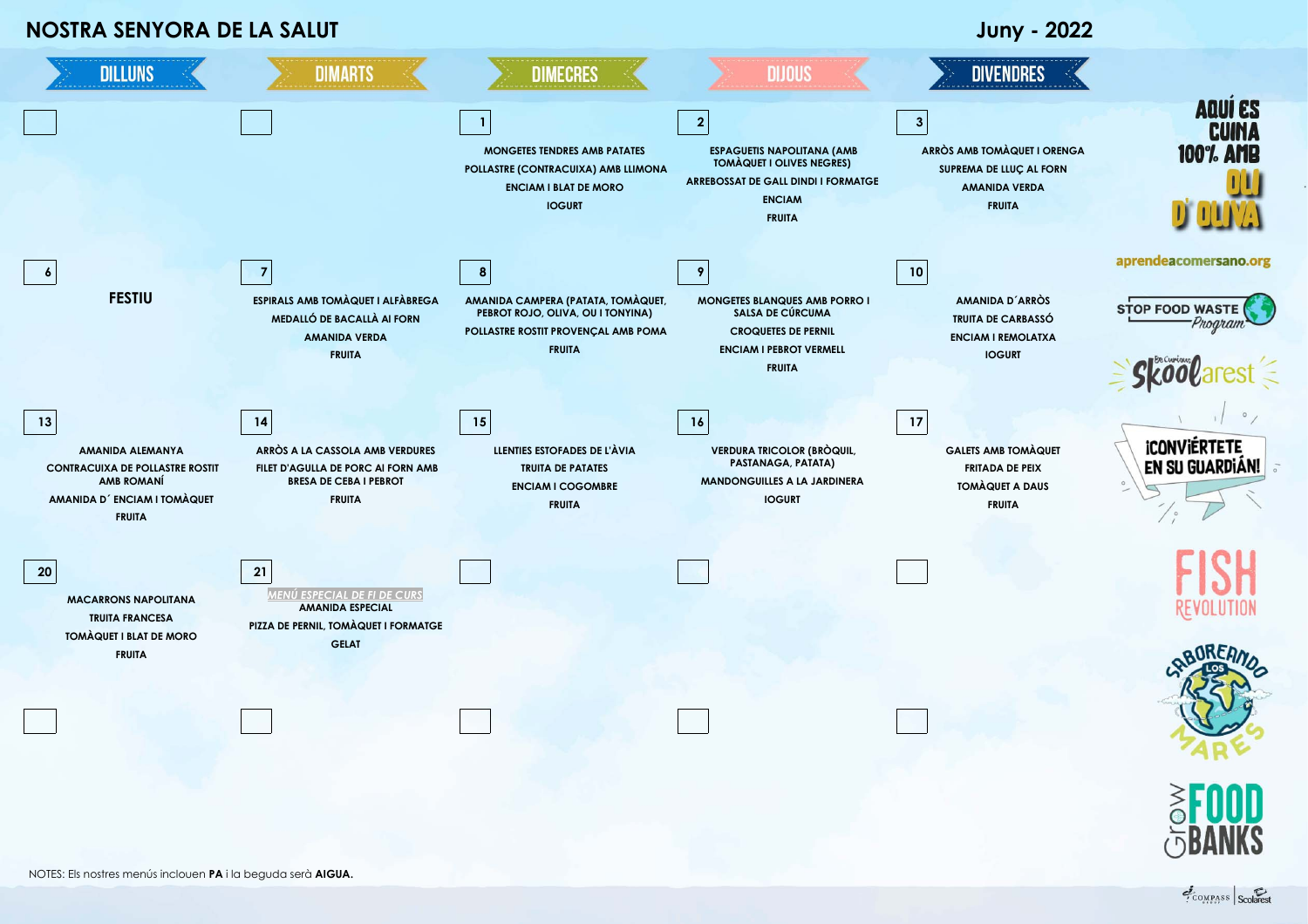